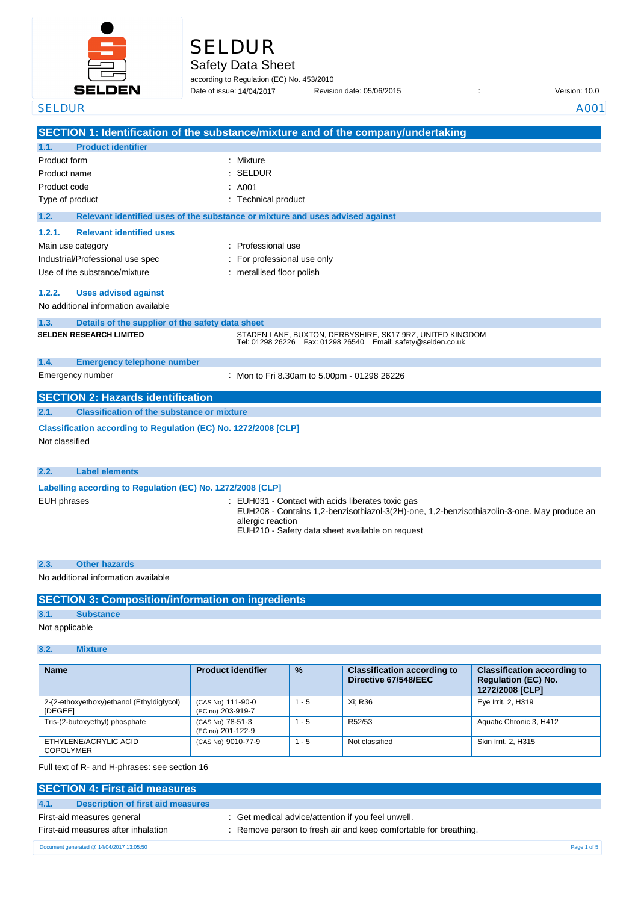

# SELDUR

Safety Data Sheet

according to Regulation (EC) No. 453/2010

Date of issue: Revision date: 05/06/2015 : Version: 10.0 SELDUR A001 Date of issue: 14/04/2017

|                                                                 | SECTION 1: Identification of the substance/mixture and of the company/undertaking                                                                                                                                       |
|-----------------------------------------------------------------|-------------------------------------------------------------------------------------------------------------------------------------------------------------------------------------------------------------------------|
| <b>Product identifier</b><br>1.1.                               |                                                                                                                                                                                                                         |
| Product form                                                    | Mixture                                                                                                                                                                                                                 |
| Product name                                                    | <b>SELDUR</b>                                                                                                                                                                                                           |
| Product code                                                    | A001                                                                                                                                                                                                                    |
| Type of product                                                 | : Technical product                                                                                                                                                                                                     |
| 1.2.                                                            | Relevant identified uses of the substance or mixture and uses advised against                                                                                                                                           |
| <b>Relevant identified uses</b><br>1.2.1.                       |                                                                                                                                                                                                                         |
| Main use category                                               | Professional use                                                                                                                                                                                                        |
| Industrial/Professional use spec                                | For professional use only                                                                                                                                                                                               |
| Use of the substance/mixture                                    | metallised floor polish                                                                                                                                                                                                 |
|                                                                 |                                                                                                                                                                                                                         |
| 1.2.2.<br><b>Uses advised against</b>                           |                                                                                                                                                                                                                         |
| No additional information available                             |                                                                                                                                                                                                                         |
| 1.3.<br>Details of the supplier of the safety data sheet        |                                                                                                                                                                                                                         |
| <b>SELDEN RESEARCH LIMITED</b>                                  | STADEN LANE, BUXTON, DERBYSHIRE, SK17 9RZ, UNITED KINGDOM<br>Tel: 01298 26226    Fax: 01298 26540    Email: safety@selden.co.uk                                                                                         |
| 1.4.<br><b>Emergency telephone number</b>                       |                                                                                                                                                                                                                         |
| Emergency number                                                | : Mon to Fri 8.30am to 5.00pm - 01298 26226                                                                                                                                                                             |
| <b>SECTION 2: Hazards identification</b>                        |                                                                                                                                                                                                                         |
| <b>Classification of the substance or mixture</b><br>2.1.       |                                                                                                                                                                                                                         |
| Classification according to Regulation (EC) No. 1272/2008 [CLP] |                                                                                                                                                                                                                         |
| Not classified                                                  |                                                                                                                                                                                                                         |
|                                                                 |                                                                                                                                                                                                                         |
| 2.2.<br><b>Label elements</b>                                   |                                                                                                                                                                                                                         |
| Labelling according to Regulation (EC) No. 1272/2008 [CLP]      |                                                                                                                                                                                                                         |
| <b>EUH phrases</b>                                              | : EUH031 - Contact with acids liberates toxic gas<br>EUH208 - Contains 1,2-benzisothiazol-3(2H)-one, 1,2-benzisothiazolin-3-one. May produce an<br>allergic reaction<br>EUH210 - Safety data sheet available on request |

## **2.3. Other hazards**

No additional information available

| <b>SECTION 3: Composition/information on ingredients</b> |  |  |
|----------------------------------------------------------|--|--|
|                                                          |  |  |

## **3.1. Substance**

Not applicable

### **3.2. Mixture**

| <b>Name</b>                                                 | <b>Product identifier</b>              | $\frac{9}{6}$ | <b>Classification according to</b><br>Directive 67/548/EEC | <b>Classification according to</b><br><b>Regulation (EC) No.</b><br>1272/2008 [CLP] |
|-------------------------------------------------------------|----------------------------------------|---------------|------------------------------------------------------------|-------------------------------------------------------------------------------------|
| 2-(2-ethoxyethoxy)ethanol (Ethyldiglycol)<br><b>IDEGEEI</b> | (CAS No) 111-90-0<br>(EC no) 203-919-7 | $1 - 5$       | Xi: R36                                                    | Eye Irrit. 2, H319                                                                  |
| Tris-(2-butoxyethyl) phosphate                              | (CAS No) 78-51-3<br>(EC no) 201-122-9  | $1 - 5$       | R52/53                                                     | Aquatic Chronic 3, H412                                                             |
| ETHYLENE/ACRYLIC ACID<br><b>COPOLYMER</b>                   | (CAS No) 9010-77-9                     | $1 - 5$       | Not classified                                             | Skin Irrit. 2, H315                                                                 |

Full text of R- and H-phrases: see section 16

| <b>SECTION 4: First aid measures</b>      |                                                                  |             |
|-------------------------------------------|------------------------------------------------------------------|-------------|
| Description of first aid measures<br>4.1. |                                                                  |             |
| First-aid measures general                | : Get medical advice/attention if you feel unwell.               |             |
| First-aid measures after inhalation       | : Remove person to fresh air and keep comfortable for breathing. |             |
| Document generated @ 14/04/2017 13:05:50  |                                                                  | Page 1 of 5 |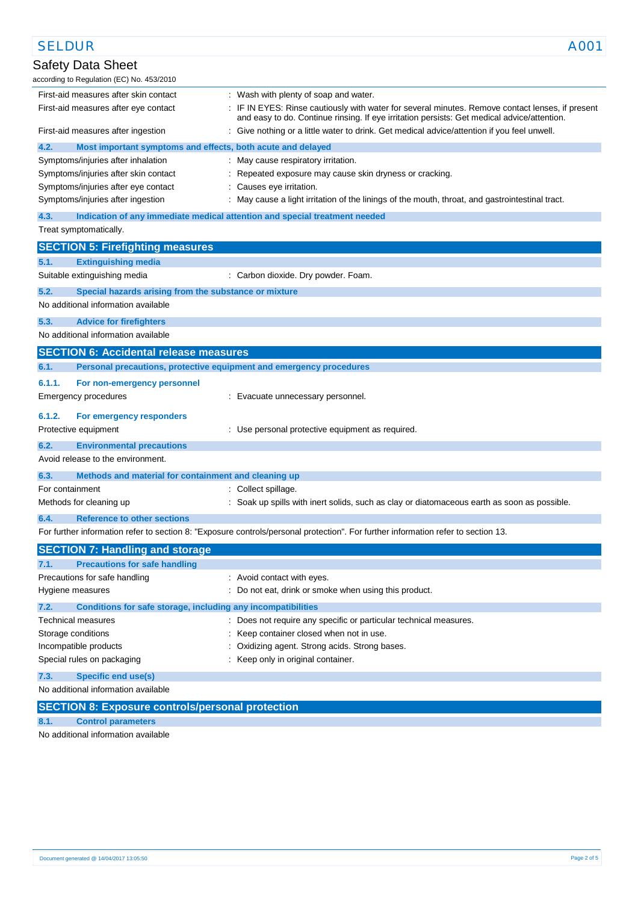| <b>SELDUR</b>                                                               | A001                                                                                                                                                                                            |
|-----------------------------------------------------------------------------|-------------------------------------------------------------------------------------------------------------------------------------------------------------------------------------------------|
| Safety Data Sheet                                                           |                                                                                                                                                                                                 |
| according to Regulation (EC) No. 453/2010                                   |                                                                                                                                                                                                 |
| First-aid measures after skin contact                                       | : Wash with plenty of soap and water.                                                                                                                                                           |
| First-aid measures after eye contact                                        | : IF IN EYES: Rinse cautiously with water for several minutes. Remove contact lenses, if present<br>and easy to do. Continue rinsing. If eye irritation persists: Get medical advice/attention. |
| First-aid measures after ingestion                                          | : Give nothing or a little water to drink. Get medical advice/attention if you feel unwell.                                                                                                     |
| 4.2.<br>Most important symptoms and effects, both acute and delayed         |                                                                                                                                                                                                 |
| Symptoms/injuries after inhalation                                          | : May cause respiratory irritation.                                                                                                                                                             |
| Symptoms/injuries after skin contact                                        | : Repeated exposure may cause skin dryness or cracking.                                                                                                                                         |
| Symptoms/injuries after eye contact                                         | : Causes eye irritation.                                                                                                                                                                        |
| Symptoms/injuries after ingestion                                           | : May cause a light irritation of the linings of the mouth, throat, and gastrointestinal tract.                                                                                                 |
| 4.3.                                                                        | Indication of any immediate medical attention and special treatment needed                                                                                                                      |
| Treat symptomatically.                                                      |                                                                                                                                                                                                 |
| <b>SECTION 5: Firefighting measures</b>                                     |                                                                                                                                                                                                 |
| 5.1.<br><b>Extinguishing media</b>                                          |                                                                                                                                                                                                 |
|                                                                             |                                                                                                                                                                                                 |
| Suitable extinguishing media                                                | : Carbon dioxide. Dry powder. Foam.                                                                                                                                                             |
| 5.2.<br>Special hazards arising from the substance or mixture               |                                                                                                                                                                                                 |
| No additional information available                                         |                                                                                                                                                                                                 |
| 5.3.<br><b>Advice for firefighters</b>                                      |                                                                                                                                                                                                 |
| No additional information available                                         |                                                                                                                                                                                                 |
| <b>SECTION 6: Accidental release measures</b>                               |                                                                                                                                                                                                 |
| Personal precautions, protective equipment and emergency procedures<br>6.1. |                                                                                                                                                                                                 |
| 6.1.1.<br>For non-emergency personnel                                       |                                                                                                                                                                                                 |
| Emergency procedures                                                        | : Evacuate unnecessary personnel.                                                                                                                                                               |
|                                                                             |                                                                                                                                                                                                 |
| 6.1.2.<br>For emergency responders                                          |                                                                                                                                                                                                 |
| Protective equipment                                                        | : Use personal protective equipment as required.                                                                                                                                                |
| 6.2.<br><b>Environmental precautions</b>                                    |                                                                                                                                                                                                 |
| Avoid release to the environment.                                           |                                                                                                                                                                                                 |
| 6.3.<br>Methods and material for containment and cleaning up                |                                                                                                                                                                                                 |
| For containment                                                             | : Collect spillage.                                                                                                                                                                             |
| Methods for cleaning up                                                     | : Soak up spills with inert solids, such as clay or diatomaceous earth as soon as possible.                                                                                                     |
| <b>Reference to other sections</b><br>6.4.                                  |                                                                                                                                                                                                 |
|                                                                             | For further information refer to section 8: "Exposure controls/personal protection". For further information refer to section 13.                                                               |
|                                                                             |                                                                                                                                                                                                 |
| <b>SECTION 7: Handling and storage</b>                                      |                                                                                                                                                                                                 |
| <b>Precautions for safe handling</b><br>7.1.                                |                                                                                                                                                                                                 |
| Precautions for safe handling                                               | : Avoid contact with eyes.                                                                                                                                                                      |
| Hygiene measures                                                            | : Do not eat, drink or smoke when using this product.                                                                                                                                           |
| 7.2.<br>Conditions for safe storage, including any incompatibilities        |                                                                                                                                                                                                 |
| Technical measures                                                          | : Does not require any specific or particular technical measures.                                                                                                                               |
| Storage conditions                                                          | : Keep container closed when not in use.                                                                                                                                                        |
| Incompatible products                                                       | Oxidizing agent. Strong acids. Strong bases.                                                                                                                                                    |
| Special rules on packaging                                                  | : Keep only in original container.                                                                                                                                                              |
| 7.3.<br><b>Specific end use(s)</b>                                          |                                                                                                                                                                                                 |
| No additional information available                                         |                                                                                                                                                                                                 |
| <b>SECTION 8: Exposure controls/personal protection</b>                     |                                                                                                                                                                                                 |
| <b>Control parameters</b><br>8.1.                                           |                                                                                                                                                                                                 |

No additional information available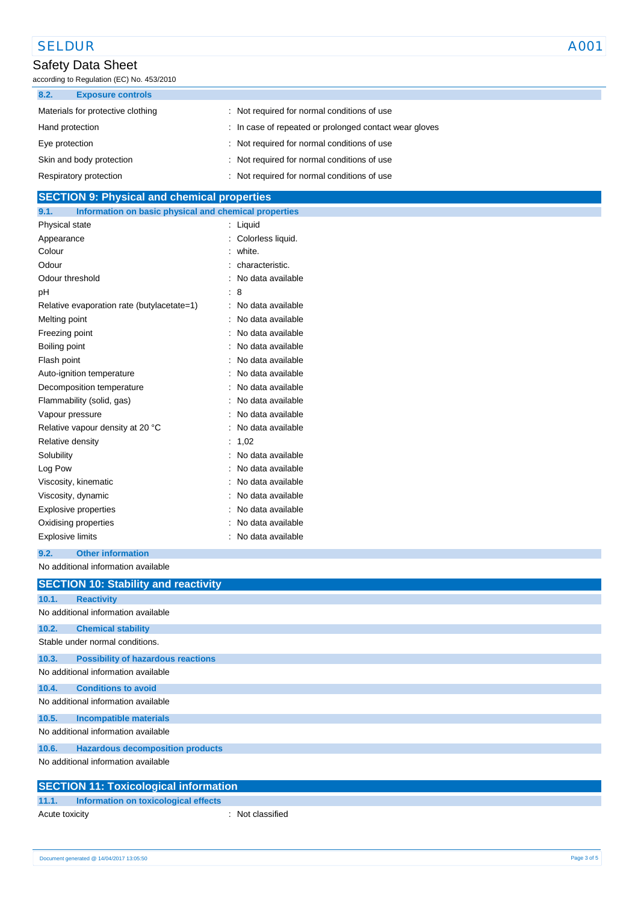## SELDUR A001

## Safety Data Sheet

according to Regulation (EC) No. 453/2010

| 8.2.<br><b>Exposure controls</b>  |                                                        |
|-----------------------------------|--------------------------------------------------------|
| Materials for protective clothing | : Not required for normal conditions of use            |
| Hand protection                   | : In case of repeated or prolonged contact wear gloves |
| Eye protection                    | : Not required for normal conditions of use            |
| Skin and body protection          | : Not required for normal conditions of use            |
| Respiratory protection            | : Not required for normal conditions of use            |

## **SECTION 9: Physical and chemical properties 9.1. Information on basic physical and chemical properties** Physical state : Liquid Appearance : Colorless liquid. Colour : white. Odour : characteristic. Odour threshold **in the contract of the Contract of Contract Contract of Contract Contract Contract Contract Contract Contract Contract Contract Contract Contract Contract Contract Contract Contract Contract Contract Contr** pH : 8 Relative evaporation rate (butylacetate=1) : No data available Melting point **in the case of the case of the case of the case of the case of the case of the case of the case of the case of the case of the case of the case of the case of the case of the case of the case of the case of** Freezing point **in the case of the case of the case of the case of the case of the case of the case of the case of the case of the case of the case of the case of the case of the case of the case of the case of the case of**

| Boiling point                    | : No data available |
|----------------------------------|---------------------|
| Flash point                      | No data available   |
| Auto-ignition temperature        | No data available   |
| Decomposition temperature        | No data available   |
| Flammability (solid, gas)        | No data available   |
| Vapour pressure                  | : No data available |
| Relative vapour density at 20 °C | : No data available |
| Relative density                 | : 1,02              |
| Solubility                       | : No data available |
| Log Pow                          | : No data available |
| Viscosity, kinematic             | : No data available |
| Viscosity, dynamic               | : No data available |
| Explosive properties             | No data available   |
| Oxidising properties             | No data available   |
| <b>Explosive limits</b>          | : No data available |

### **9.2. Other information**

No additional information available

|       | <b>SECTION 10: Stability and reactivity</b>  |
|-------|----------------------------------------------|
| 10.1. | <b>Reactivity</b>                            |
|       | No additional information available          |
| 10.2. | <b>Chemical stability</b>                    |
|       | Stable under normal conditions.              |
| 10.3. | <b>Possibility of hazardous reactions</b>    |
|       | No additional information available          |
| 10.4. | <b>Conditions to avoid</b>                   |
|       | No additional information available          |
| 10.5. | <b>Incompatible materials</b>                |
|       | No additional information available          |
| 10.6. | <b>Hazardous decomposition products</b>      |
|       | No additional information available          |
|       | <b>SECTION 11: Toxicological information</b> |

## **11.1. Information on toxicological effects**

Acute toxicity **in the case of the CALIC CONTEX** and Acute toxicity **contract to a set of the contract of the contract of the contract of the contract of the contract of the contract of the contract of the contract of the**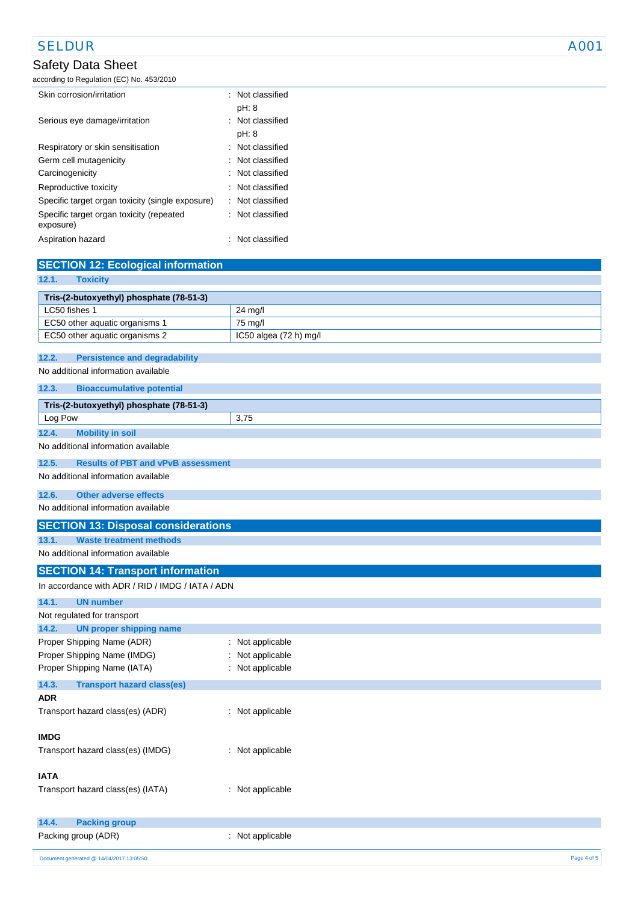## SELDUR A001

## Safety Data Sheet

according to Regulation (EC) No. 453/2010

| Skin corrosion/irritation                             |  | : Not classified |
|-------------------------------------------------------|--|------------------|
|                                                       |  | pH: 8            |
| Serious eye damage/irritation                         |  | : Not classified |
|                                                       |  | pH: 8            |
| Respiratory or skin sensitisation                     |  | : Not classified |
| Germ cell mutagenicity                                |  | : Not classified |
| Carcinogenicity                                       |  | : Not classified |
| Reproductive toxicity                                 |  | : Not classified |
| Specific target organ toxicity (single exposure)      |  | : Not classified |
| Specific target organ toxicity (repeated<br>exposure) |  | : Not classified |
| Aspiration hazard                                     |  | Not classified   |

| <b>SECTION 12: Ecological information</b>                                   |                                  |
|-----------------------------------------------------------------------------|----------------------------------|
| <b>Toxicity</b><br>12.1.                                                    |                                  |
| Tris-(2-butoxyethyl) phosphate (78-51-3)                                    |                                  |
| LC50 fishes 1                                                               | 24 mg/l                          |
| EC50 other aquatic organisms 1                                              | 75 mg/l                          |
| EC50 other aquatic organisms 2                                              | IC50 algea (72 h) mg/l           |
| 12.2.                                                                       |                                  |
| <b>Persistence and degradability</b><br>No additional information available |                                  |
|                                                                             |                                  |
| 12.3.<br><b>Bioaccumulative potential</b>                                   |                                  |
| Tris-(2-butoxyethyl) phosphate (78-51-3)                                    |                                  |
| Log Pow                                                                     | 3,75                             |
| 12.4.<br><b>Mobility in soil</b>                                            |                                  |
| No additional information available                                         |                                  |
| 12.5.<br><b>Results of PBT and vPvB assessment</b>                          |                                  |
| No additional information available                                         |                                  |
| <b>Other adverse effects</b><br>12.6.                                       |                                  |
| No additional information available                                         |                                  |
| <b>SECTION 13: Disposal considerations</b>                                  |                                  |
| 13.1.<br><b>Waste treatment methods</b>                                     |                                  |
| No additional information available                                         |                                  |
| <b>SECTION 14: Transport information</b>                                    |                                  |
| In accordance with ADR / RID / IMDG / IATA / ADN                            |                                  |
|                                                                             |                                  |
| 14.1.<br><b>UN number</b>                                                   |                                  |
| Not regulated for transport                                                 |                                  |
| <b>UN proper shipping name</b><br>14.2.<br>Proper Shipping Name (ADR)       |                                  |
| Proper Shipping Name (IMDG)                                                 | Not applicable<br>Not applicable |
| Proper Shipping Name (IATA)                                                 | Not applicable                   |
|                                                                             |                                  |
| 14.3.<br><b>Transport hazard class(es)</b><br><b>ADR</b>                    |                                  |
| Transport hazard class(es) (ADR)                                            | : Not applicable                 |
|                                                                             |                                  |
| <b>IMDG</b>                                                                 |                                  |
| Transport hazard class(es) (IMDG)                                           | : Not applicable                 |
|                                                                             |                                  |
| <b>IATA</b>                                                                 |                                  |
| Transport hazard class(es) (IATA)                                           | : Not applicable                 |
|                                                                             |                                  |
| 14.4.<br><b>Packing group</b>                                               |                                  |
| Packing group (ADR)                                                         | : Not applicable                 |